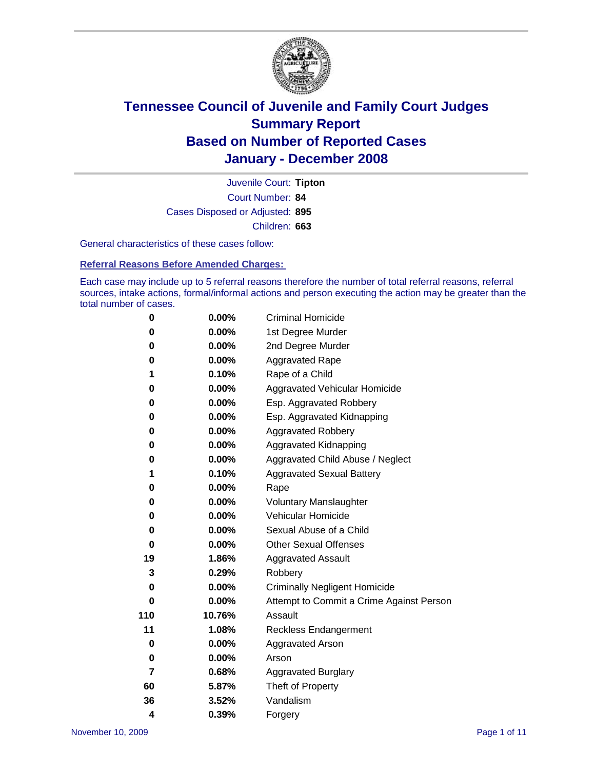

Court Number: **84** Juvenile Court: **Tipton** Cases Disposed or Adjusted: **895** Children: **663**

General characteristics of these cases follow:

**Referral Reasons Before Amended Charges:** 

Each case may include up to 5 referral reasons therefore the number of total referral reasons, referral sources, intake actions, formal/informal actions and person executing the action may be greater than the total number of cases.

| 0   | 0.00%    | <b>Criminal Homicide</b>                 |
|-----|----------|------------------------------------------|
| 0   | 0.00%    | 1st Degree Murder                        |
| 0   | 0.00%    | 2nd Degree Murder                        |
| 0   | 0.00%    | <b>Aggravated Rape</b>                   |
| 1   | 0.10%    | Rape of a Child                          |
| 0   | 0.00%    | Aggravated Vehicular Homicide            |
| 0   | 0.00%    | Esp. Aggravated Robbery                  |
| 0   | 0.00%    | Esp. Aggravated Kidnapping               |
| 0   | 0.00%    | <b>Aggravated Robbery</b>                |
| 0   | 0.00%    | Aggravated Kidnapping                    |
| 0   | 0.00%    | Aggravated Child Abuse / Neglect         |
| 1   | 0.10%    | <b>Aggravated Sexual Battery</b>         |
| 0   | 0.00%    | Rape                                     |
| 0   | 0.00%    | <b>Voluntary Manslaughter</b>            |
| 0   | 0.00%    | Vehicular Homicide                       |
| 0   | 0.00%    | Sexual Abuse of a Child                  |
| 0   | $0.00\%$ | <b>Other Sexual Offenses</b>             |
| 19  | 1.86%    | <b>Aggravated Assault</b>                |
| 3   | 0.29%    | Robbery                                  |
| 0   | 0.00%    | <b>Criminally Negligent Homicide</b>     |
| 0   | 0.00%    | Attempt to Commit a Crime Against Person |
| 110 | 10.76%   | Assault                                  |
| 11  | 1.08%    | <b>Reckless Endangerment</b>             |
| 0   | 0.00%    | <b>Aggravated Arson</b>                  |
| 0   | 0.00%    | Arson                                    |
| 7   | 0.68%    | Aggravated Burglary                      |
| 60  | 5.87%    | Theft of Property                        |
| 36  | 3.52%    | Vandalism                                |
| 4   | 0.39%    | Forgery                                  |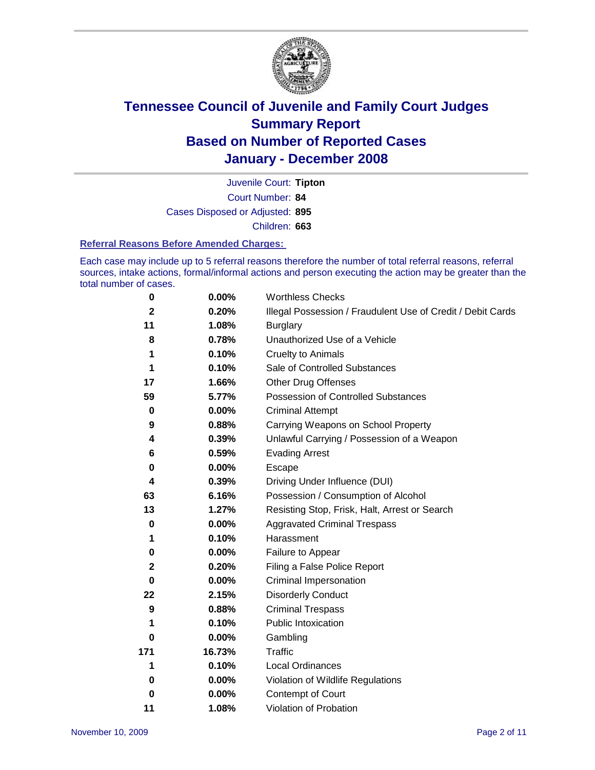

Court Number: **84** Juvenile Court: **Tipton** Cases Disposed or Adjusted: **895** Children: **663**

#### **Referral Reasons Before Amended Charges:**

Each case may include up to 5 referral reasons therefore the number of total referral reasons, referral sources, intake actions, formal/informal actions and person executing the action may be greater than the total number of cases.

| 0            | 0.00%    | <b>Worthless Checks</b>                                     |
|--------------|----------|-------------------------------------------------------------|
| $\mathbf{2}$ | 0.20%    | Illegal Possession / Fraudulent Use of Credit / Debit Cards |
| 11           | 1.08%    | <b>Burglary</b>                                             |
| 8            | 0.78%    | Unauthorized Use of a Vehicle                               |
| 1            | 0.10%    | <b>Cruelty to Animals</b>                                   |
| 1            | 0.10%    | Sale of Controlled Substances                               |
| 17           | 1.66%    | <b>Other Drug Offenses</b>                                  |
| 59           | 5.77%    | <b>Possession of Controlled Substances</b>                  |
| $\pmb{0}$    | $0.00\%$ | <b>Criminal Attempt</b>                                     |
| 9            | 0.88%    | Carrying Weapons on School Property                         |
| 4            | 0.39%    | Unlawful Carrying / Possession of a Weapon                  |
| 6            | 0.59%    | <b>Evading Arrest</b>                                       |
| 0            | 0.00%    | Escape                                                      |
| 4            | 0.39%    | Driving Under Influence (DUI)                               |
| 63           | 6.16%    | Possession / Consumption of Alcohol                         |
| 13           | 1.27%    | Resisting Stop, Frisk, Halt, Arrest or Search               |
| 0            | 0.00%    | <b>Aggravated Criminal Trespass</b>                         |
| 1            | 0.10%    | Harassment                                                  |
| 0            | $0.00\%$ | Failure to Appear                                           |
| $\mathbf 2$  | 0.20%    | Filing a False Police Report                                |
| $\bf{0}$     | $0.00\%$ | Criminal Impersonation                                      |
| 22           | 2.15%    | <b>Disorderly Conduct</b>                                   |
| 9            | 0.88%    | <b>Criminal Trespass</b>                                    |
| 1            | 0.10%    | Public Intoxication                                         |
| 0            | $0.00\%$ | Gambling                                                    |
| 171          | 16.73%   | <b>Traffic</b>                                              |
| 1            | 0.10%    | Local Ordinances                                            |
| 0            | 0.00%    | Violation of Wildlife Regulations                           |
| 0            | $0.00\%$ | Contempt of Court                                           |
| 11           | 1.08%    | Violation of Probation                                      |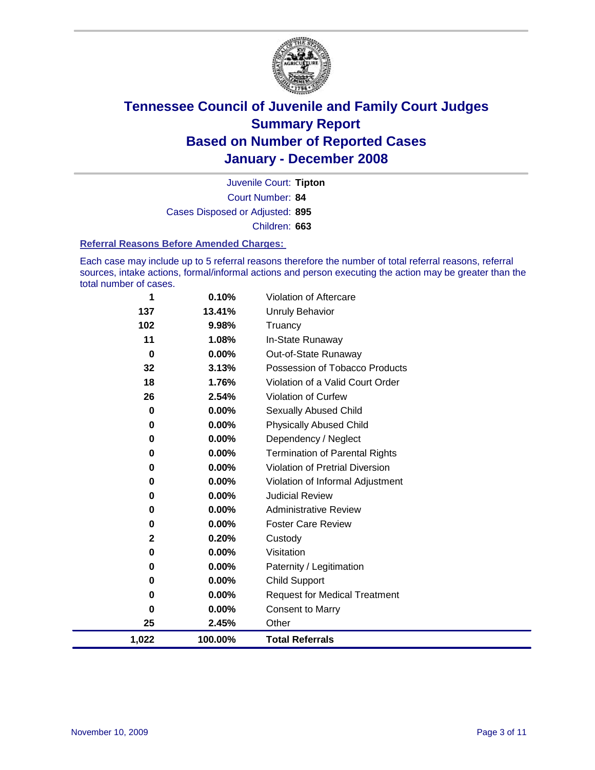

Court Number: **84** Juvenile Court: **Tipton** Cases Disposed or Adjusted: **895** Children: **663**

#### **Referral Reasons Before Amended Charges:**

Each case may include up to 5 referral reasons therefore the number of total referral reasons, referral sources, intake actions, formal/informal actions and person executing the action may be greater than the total number of cases.

| 1        | 0.10%   | Violation of Aftercare                 |
|----------|---------|----------------------------------------|
| 137      | 13.41%  | Unruly Behavior                        |
| 102      | 9.98%   | Truancy                                |
| 11       | 1.08%   | In-State Runaway                       |
| $\bf{0}$ | 0.00%   | Out-of-State Runaway                   |
| 32       | 3.13%   | Possession of Tobacco Products         |
| 18       | 1.76%   | Violation of a Valid Court Order       |
| 26       | 2.54%   | Violation of Curfew                    |
| 0        | 0.00%   | Sexually Abused Child                  |
| 0        | 0.00%   | <b>Physically Abused Child</b>         |
| 0        | 0.00%   | Dependency / Neglect                   |
| $\bf{0}$ | 0.00%   | <b>Termination of Parental Rights</b>  |
| 0        | 0.00%   | <b>Violation of Pretrial Diversion</b> |
| 0        | 0.00%   | Violation of Informal Adjustment       |
| 0        | 0.00%   | <b>Judicial Review</b>                 |
| 0        | 0.00%   | <b>Administrative Review</b>           |
| 0        | 0.00%   | <b>Foster Care Review</b>              |
| 2        | 0.20%   | Custody                                |
| 0        | 0.00%   | Visitation                             |
| 0        | 0.00%   | Paternity / Legitimation               |
| 0        | 0.00%   | Child Support                          |
| 0        | 0.00%   | <b>Request for Medical Treatment</b>   |
| $\bf{0}$ | 0.00%   | <b>Consent to Marry</b>                |
| 25       | 2.45%   | Other                                  |
| 1,022    | 100.00% | <b>Total Referrals</b>                 |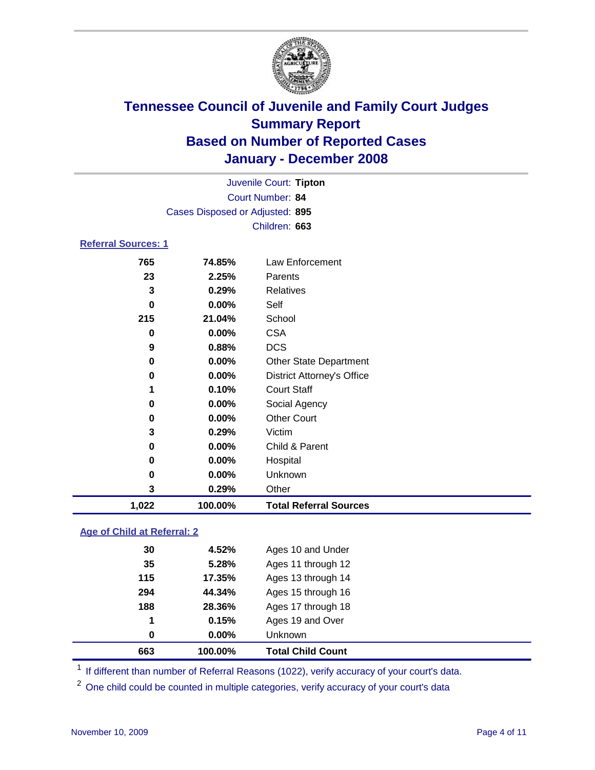

| Juvenile Court: Tipton          |                  |                                   |  |  |  |  |
|---------------------------------|------------------|-----------------------------------|--|--|--|--|
|                                 | Court Number: 84 |                                   |  |  |  |  |
| Cases Disposed or Adjusted: 895 |                  |                                   |  |  |  |  |
| Children: 663                   |                  |                                   |  |  |  |  |
| <b>Referral Sources: 1</b>      |                  |                                   |  |  |  |  |
| 765                             | 74.85%           | Law Enforcement                   |  |  |  |  |
| 23                              | 2.25%            | Parents                           |  |  |  |  |
| 3                               | 0.29%            | Relatives                         |  |  |  |  |
| 0                               | $0.00\%$         | Self                              |  |  |  |  |
| 215                             | 21.04%           | School                            |  |  |  |  |
| 0                               | 0.00%            | <b>CSA</b>                        |  |  |  |  |
| 9                               | 0.88%            | <b>DCS</b>                        |  |  |  |  |
| 0                               | $0.00\%$         | <b>Other State Department</b>     |  |  |  |  |
| 0                               | $0.00\%$         | <b>District Attorney's Office</b> |  |  |  |  |
| 1                               | 0.10%            | <b>Court Staff</b>                |  |  |  |  |
| 0                               | 0.00%            | Social Agency                     |  |  |  |  |
| 0                               | 0.00%            | <b>Other Court</b>                |  |  |  |  |
| 3                               | 0.29%            | Victim                            |  |  |  |  |
| 0                               | 0.00%            | Child & Parent                    |  |  |  |  |
| 0                               | 0.00%            | Hospital                          |  |  |  |  |

 **0.00%** Unknown **0.29%** Other **1,022 100.00% Total Referral Sources**

### **Age of Child at Referral: 2**

| 663 | 100.00% | <b>Total Child Count</b> |
|-----|---------|--------------------------|
| 0   | 0.00%   | Unknown                  |
| 1   | 0.15%   | Ages 19 and Over         |
| 188 | 28.36%  | Ages 17 through 18       |
| 294 | 44.34%  | Ages 15 through 16       |
| 115 | 17.35%  | Ages 13 through 14       |
| 35  | 5.28%   | Ages 11 through 12       |
| 30  | 4.52%   | Ages 10 and Under        |
|     |         |                          |

<sup>1</sup> If different than number of Referral Reasons (1022), verify accuracy of your court's data.

<sup>2</sup> One child could be counted in multiple categories, verify accuracy of your court's data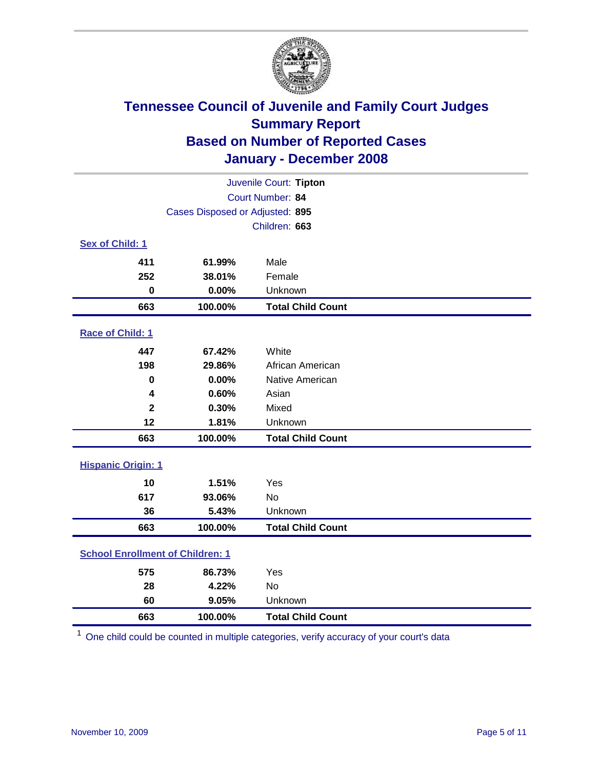

| Juvenile Court: Tipton                  |         |                          |  |
|-----------------------------------------|---------|--------------------------|--|
| Court Number: 84                        |         |                          |  |
| Cases Disposed or Adjusted: 895         |         |                          |  |
|                                         |         | Children: 663            |  |
| Sex of Child: 1                         |         |                          |  |
| 411                                     | 61.99%  | Male                     |  |
| 252                                     | 38.01%  | Female                   |  |
| $\mathbf 0$                             | 0.00%   | Unknown                  |  |
| 663                                     | 100.00% | <b>Total Child Count</b> |  |
| Race of Child: 1                        |         |                          |  |
| 447                                     | 67.42%  | White                    |  |
| 198                                     | 29.86%  | African American         |  |
| 0                                       | 0.00%   | Native American          |  |
| 4                                       | 0.60%   | Asian                    |  |
| $\overline{\mathbf{2}}$                 | 0.30%   | Mixed                    |  |
| 12                                      | 1.81%   | Unknown                  |  |
| 663                                     | 100.00% | <b>Total Child Count</b> |  |
| <b>Hispanic Origin: 1</b>               |         |                          |  |
| 10                                      | 1.51%   | Yes                      |  |
| 617                                     | 93.06%  | <b>No</b>                |  |
| 36                                      | 5.43%   | Unknown                  |  |
| 663                                     | 100.00% | <b>Total Child Count</b> |  |
| <b>School Enrollment of Children: 1</b> |         |                          |  |
| 575                                     | 86.73%  | Yes                      |  |
| 28                                      | 4.22%   | No                       |  |
| 60                                      | 9.05%   | Unknown                  |  |
| 663                                     | 100.00% | <b>Total Child Count</b> |  |

One child could be counted in multiple categories, verify accuracy of your court's data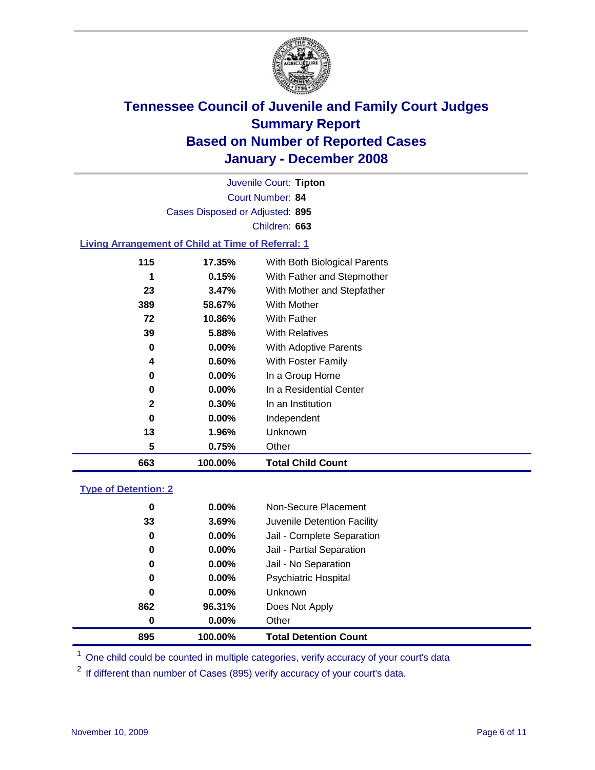

Court Number: **84** Juvenile Court: **Tipton** Cases Disposed or Adjusted: **895** Children: **663**

#### **Living Arrangement of Child at Time of Referral: 1**

| 663          | 100.00%  | <b>Total Child Count</b>     |
|--------------|----------|------------------------------|
| 5            | 0.75%    | Other                        |
| 13           | 1.96%    | Unknown                      |
| 0            | $0.00\%$ | Independent                  |
| $\mathbf{2}$ | 0.30%    | In an Institution            |
| 0            | $0.00\%$ | In a Residential Center      |
| 0            | $0.00\%$ | In a Group Home              |
| 4            | $0.60\%$ | With Foster Family           |
| 0            | $0.00\%$ | With Adoptive Parents        |
| 39           | 5.88%    | <b>With Relatives</b>        |
| 72           | 10.86%   | <b>With Father</b>           |
| 389          | 58.67%   | With Mother                  |
| 23           | 3.47%    | With Mother and Stepfather   |
|              | 0.15%    | With Father and Stepmother   |
| 115          | 17.35%   | With Both Biological Parents |
|              |          |                              |

#### **Type of Detention: 2**

| 895 | 100.00%  | <b>Total Detention Count</b> |
|-----|----------|------------------------------|
| 0   | 0.00%    | Other                        |
| 862 | 96.31%   | Does Not Apply               |
| 0   | $0.00\%$ | <b>Unknown</b>               |
| 0   | 0.00%    | <b>Psychiatric Hospital</b>  |
| 0   | 0.00%    | Jail - No Separation         |
| 0   | 0.00%    | Jail - Partial Separation    |
| 0   | $0.00\%$ | Jail - Complete Separation   |
| 33  | 3.69%    | Juvenile Detention Facility  |
| 0   | $0.00\%$ | Non-Secure Placement         |
|     |          |                              |

<sup>1</sup> One child could be counted in multiple categories, verify accuracy of your court's data

<sup>2</sup> If different than number of Cases (895) verify accuracy of your court's data.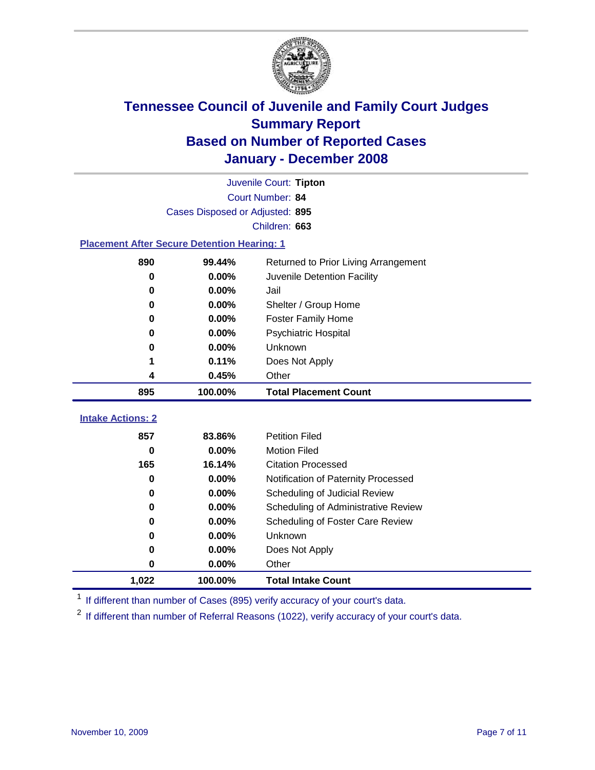

|                                                    | Juvenile Court: Tipton          |                                      |  |  |  |  |
|----------------------------------------------------|---------------------------------|--------------------------------------|--|--|--|--|
|                                                    | Court Number: 84                |                                      |  |  |  |  |
|                                                    | Cases Disposed or Adjusted: 895 |                                      |  |  |  |  |
| Children: 663                                      |                                 |                                      |  |  |  |  |
| <b>Placement After Secure Detention Hearing: 1</b> |                                 |                                      |  |  |  |  |
| 890                                                | 99.44%                          | Returned to Prior Living Arrangement |  |  |  |  |
| 0                                                  | 0.00%                           | Juvenile Detention Facility          |  |  |  |  |
| 0                                                  | 0.00%                           | Jail                                 |  |  |  |  |
| 0                                                  | 0.00%                           | Shelter / Group Home                 |  |  |  |  |
| 0                                                  | 0.00%                           | <b>Foster Family Home</b>            |  |  |  |  |
| 0                                                  | 0.00%                           | Psychiatric Hospital                 |  |  |  |  |
| 0                                                  | 0.00%                           | Unknown                              |  |  |  |  |
|                                                    | 0.11%                           | Does Not Apply                       |  |  |  |  |
| 4                                                  | 0.45%                           | Other                                |  |  |  |  |
| 895                                                | 100.00%                         | <b>Total Placement Count</b>         |  |  |  |  |
|                                                    |                                 |                                      |  |  |  |  |
| <b>Intake Actions: 2</b>                           |                                 |                                      |  |  |  |  |
| 857                                                | 83.86%                          | <b>Petition Filed</b>                |  |  |  |  |
| 0                                                  | 0.00%                           | <b>Motion Filed</b>                  |  |  |  |  |
| 165                                                | 16.14%                          | <b>Citation Processed</b>            |  |  |  |  |
| 0                                                  | 0.00%                           | Notification of Paternity Processed  |  |  |  |  |
| 0                                                  | 0.00%                           | Scheduling of Judicial Review        |  |  |  |  |
| 0                                                  | 0.00%                           | Scheduling of Administrative Review  |  |  |  |  |
| 0                                                  | 0.00%                           | Scheduling of Foster Care Review     |  |  |  |  |
| 0                                                  | 0.00%                           | Unknown                              |  |  |  |  |
| 0                                                  | 0.00%                           | Does Not Apply                       |  |  |  |  |
| 0                                                  | 0.00%                           | Other                                |  |  |  |  |
| 1,022                                              | 100.00%                         | <b>Total Intake Count</b>            |  |  |  |  |

<sup>1</sup> If different than number of Cases (895) verify accuracy of your court's data.

<sup>2</sup> If different than number of Referral Reasons (1022), verify accuracy of your court's data.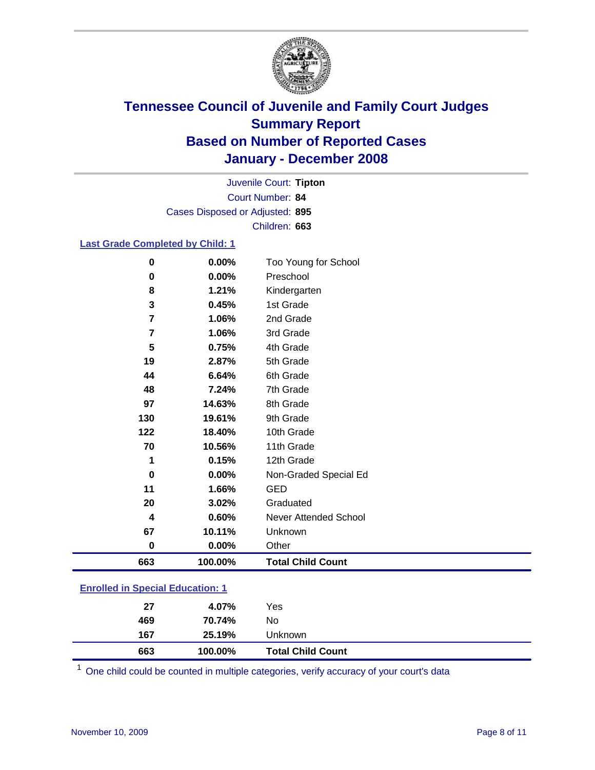

Court Number: **84** Juvenile Court: **Tipton** Cases Disposed or Adjusted: **895** Children: **663**

### **Last Grade Completed by Child: 1**

| $\mathbf 0$ | 0.00%   | Too Young for School     |
|-------------|---------|--------------------------|
| 0           | 0.00%   | Preschool                |
| 8           | 1.21%   | Kindergarten             |
| 3           | 0.45%   | 1st Grade                |
| 7           | 1.06%   | 2nd Grade                |
| 7           | 1.06%   | 3rd Grade                |
| 5           | 0.75%   | 4th Grade                |
| 19          | 2.87%   | 5th Grade                |
| 44          | 6.64%   | 6th Grade                |
| 48          | 7.24%   | 7th Grade                |
| 97          | 14.63%  | 8th Grade                |
| 130         | 19.61%  | 9th Grade                |
| 122         | 18.40%  | 10th Grade               |
| 70          | 10.56%  | 11th Grade               |
| 1           | 0.15%   | 12th Grade               |
| 0           | 0.00%   | Non-Graded Special Ed    |
| 11          | 1.66%   | <b>GED</b>               |
| 20          | 3.02%   | Graduated                |
| 4           | 0.60%   | Never Attended School    |
| 67          | 10.11%  | Unknown                  |
| $\bf{0}$    | 0.00%   | Other                    |
| 663         | 100.00% | <b>Total Child Count</b> |

### **Enrolled in Special Education: 1**

| 469<br>70.74%<br>No<br>167<br>25.19%<br>Unknown |  |
|-------------------------------------------------|--|
|                                                 |  |
|                                                 |  |
| 27<br>Yes<br>4.07%                              |  |

One child could be counted in multiple categories, verify accuracy of your court's data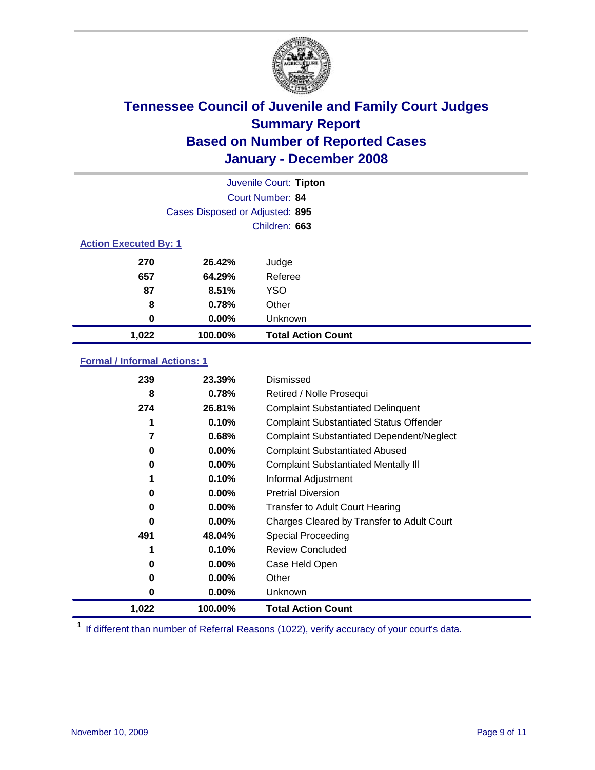

|                              | Juvenile Court: Tipton          |                           |  |  |  |
|------------------------------|---------------------------------|---------------------------|--|--|--|
|                              | Court Number: 84                |                           |  |  |  |
|                              | Cases Disposed or Adjusted: 895 |                           |  |  |  |
|                              |                                 | Children: 663             |  |  |  |
| <b>Action Executed By: 1</b> |                                 |                           |  |  |  |
| 270                          | 26.42%                          | Judge                     |  |  |  |
| 657                          | 64.29%                          | Referee                   |  |  |  |
| 87                           | 8.51%                           | <b>YSO</b>                |  |  |  |
| 8                            | 0.78%                           | Other                     |  |  |  |
| 0                            | $0.00\%$                        | Unknown                   |  |  |  |
| 1,022                        | 100.00%                         | <b>Total Action Count</b> |  |  |  |

### **Formal / Informal Actions: 1**

| 239   | 23.39%   | Dismissed                                        |
|-------|----------|--------------------------------------------------|
| 8     | 0.78%    | Retired / Nolle Prosequi                         |
| 274   | 26.81%   | <b>Complaint Substantiated Delinquent</b>        |
|       | 0.10%    | <b>Complaint Substantiated Status Offender</b>   |
| 7     | 0.68%    | <b>Complaint Substantiated Dependent/Neglect</b> |
| 0     | 0.00%    | <b>Complaint Substantiated Abused</b>            |
| 0     | $0.00\%$ | <b>Complaint Substantiated Mentally III</b>      |
|       | 0.10%    | Informal Adjustment                              |
| 0     | $0.00\%$ | <b>Pretrial Diversion</b>                        |
| 0     | $0.00\%$ | <b>Transfer to Adult Court Hearing</b>           |
| 0     | $0.00\%$ | Charges Cleared by Transfer to Adult Court       |
| 491   | 48.04%   | Special Proceeding                               |
| 1     | 0.10%    | <b>Review Concluded</b>                          |
| 0     | $0.00\%$ | Case Held Open                                   |
| 0     | $0.00\%$ | Other                                            |
| 0     | $0.00\%$ | <b>Unknown</b>                                   |
| 1,022 | 100.00%  | <b>Total Action Count</b>                        |

<sup>1</sup> If different than number of Referral Reasons (1022), verify accuracy of your court's data.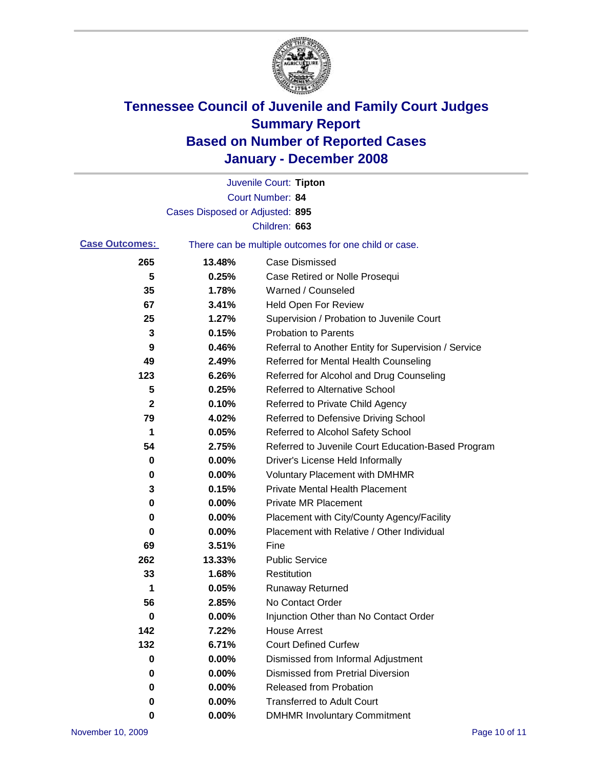

|                       |                                 | Juvenile Court: Tipton                                |
|-----------------------|---------------------------------|-------------------------------------------------------|
|                       |                                 | Court Number: 84                                      |
|                       | Cases Disposed or Adjusted: 895 |                                                       |
|                       |                                 | Children: 663                                         |
| <b>Case Outcomes:</b> |                                 | There can be multiple outcomes for one child or case. |
| 265                   | 13.48%                          | <b>Case Dismissed</b>                                 |
| 5                     | 0.25%                           | Case Retired or Nolle Prosequi                        |
| 35                    | 1.78%                           | Warned / Counseled                                    |
| 67                    | 3.41%                           | <b>Held Open For Review</b>                           |
| 25                    | 1.27%                           | Supervision / Probation to Juvenile Court             |
| 3                     | 0.15%                           | <b>Probation to Parents</b>                           |
| 9                     | 0.46%                           | Referral to Another Entity for Supervision / Service  |
| 49                    | 2.49%                           | Referred for Mental Health Counseling                 |
| 123                   | 6.26%                           | Referred for Alcohol and Drug Counseling              |
| 5                     | 0.25%                           | <b>Referred to Alternative School</b>                 |
| 2                     | 0.10%                           | Referred to Private Child Agency                      |
| 79                    | 4.02%                           | Referred to Defensive Driving School                  |
| 1                     | 0.05%                           | Referred to Alcohol Safety School                     |
| 54                    | 2.75%                           | Referred to Juvenile Court Education-Based Program    |
| 0                     | 0.00%                           | Driver's License Held Informally                      |
| 0                     | 0.00%                           | <b>Voluntary Placement with DMHMR</b>                 |
| 3                     | 0.15%                           | <b>Private Mental Health Placement</b>                |
| 0                     | 0.00%                           | <b>Private MR Placement</b>                           |
| 0                     | 0.00%                           | Placement with City/County Agency/Facility            |
| 0                     | 0.00%                           | Placement with Relative / Other Individual            |
| 69                    | 3.51%                           | Fine                                                  |
| 262                   | 13.33%                          | <b>Public Service</b>                                 |
| 33                    | 1.68%                           | Restitution                                           |
| 1                     | 0.05%                           | <b>Runaway Returned</b>                               |
| 56                    | 2.85%                           | No Contact Order                                      |
| $\bf{0}$              | $0.00\%$                        | Injunction Other than No Contact Order                |
| 142                   | 7.22%                           | <b>House Arrest</b>                                   |
| 132                   | 6.71%                           | <b>Court Defined Curfew</b>                           |
| 0                     | 0.00%                           | Dismissed from Informal Adjustment                    |
| 0                     | 0.00%                           | <b>Dismissed from Pretrial Diversion</b>              |
| 0                     | 0.00%                           | <b>Released from Probation</b>                        |
| 0                     | $0.00\%$                        | <b>Transferred to Adult Court</b>                     |
| 0                     | 0.00%                           | <b>DMHMR Involuntary Commitment</b>                   |